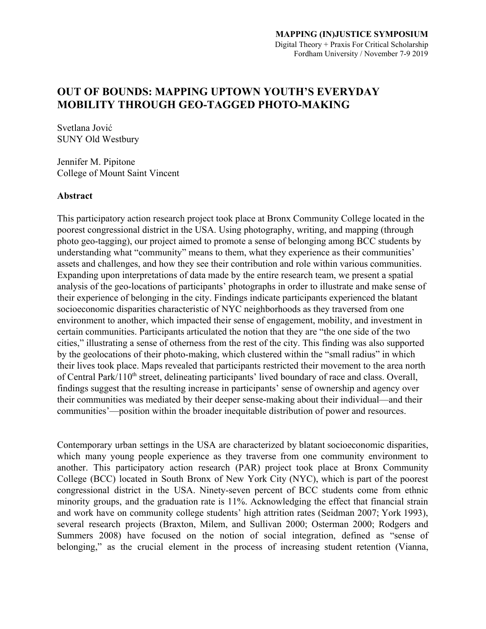# **OUT OF BOUNDS: MAPPING UPTOWN YOUTH'S EVERYDAY MOBILITY THROUGH GEO-TAGGED PHOTO-MAKING**

Svetlana Jović SUNY Old Westbury

Jennifer M. Pipitone College of Mount Saint Vincent

# **Abstract**

This participatory action research project took place at Bronx Community College located in the poorest congressional district in the USA. Using photography, writing, and mapping (through photo geo-tagging), our project aimed to promote a sense of belonging among BCC students by understanding what "community" means to them, what they experience as their communities' assets and challenges, and how they see their contribution and role within various communities. Expanding upon interpretations of data made by the entire research team, we present a spatial analysis of the geo-locations of participants' photographs in order to illustrate and make sense of their experience of belonging in the city. Findings indicate participants experienced the blatant socioeconomic disparities characteristic of NYC neighborhoods as they traversed from one environment to another, which impacted their sense of engagement, mobility, and investment in certain communities. Participants articulated the notion that they are "the one side of the two cities," illustrating a sense of otherness from the rest of the city. This finding was also supported by the geolocations of their photo-making, which clustered within the "small radius" in which their lives took place. Maps revealed that participants restricted their movement to the area north of Central Park/110<sup>th</sup> street, delineating participants' lived boundary of race and class. Overall, findings suggest that the resulting increase in participants' sense of ownership and agency over their communities was mediated by their deeper sense-making about their individual—and their communities'—position within the broader inequitable distribution of power and resources.

Contemporary urban settings in the USA are characterized by blatant socioeconomic disparities, which many young people experience as they traverse from one community environment to another. This participatory action research (PAR) project took place at Bronx Community College (BCC) located in South Bronx of New York City (NYC), which is part of the poorest congressional district in the USA. Ninety-seven percent of BCC students come from ethnic minority groups, and the graduation rate is 11%. Acknowledging the effect that financial strain and work have on community college students' high attrition rates (Seidman 2007; York 1993), several research projects (Braxton, Milem, and Sullivan 2000; Osterman 2000; Rodgers and Summers 2008) have focused on the notion of social integration, defined as "sense of belonging," as the crucial element in the process of increasing student retention (Vianna,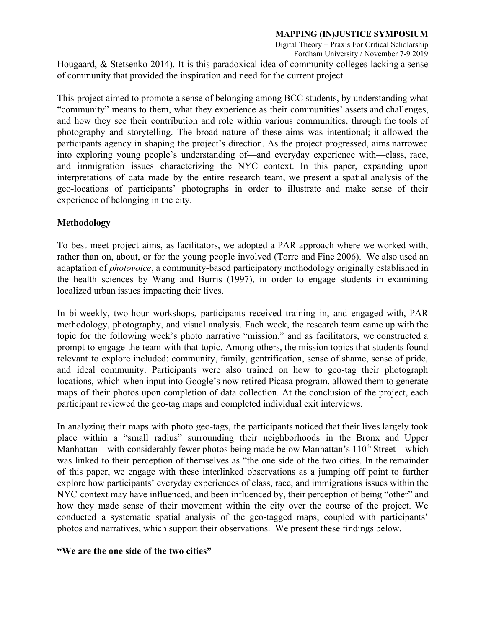Digital Theory + Praxis For Critical Scholarship Fordham University / November 7-9 2019

Hougaard, & Stetsenko 2014). It is this paradoxical idea of community colleges lacking a sense of community that provided the inspiration and need for the current project.

This project aimed to promote a sense of belonging among BCC students, by understanding what "community" means to them, what they experience as their communities' assets and challenges, and how they see their contribution and role within various communities, through the tools of photography and storytelling. The broad nature of these aims was intentional; it allowed the participants agency in shaping the project's direction. As the project progressed, aims narrowed into exploring young people's understanding of—and everyday experience with—class, race, and immigration issues characterizing the NYC context. In this paper, expanding upon interpretations of data made by the entire research team, we present a spatial analysis of the geo-locations of participants' photographs in order to illustrate and make sense of their experience of belonging in the city.

# **Methodology**

To best meet project aims, as facilitators, we adopted a PAR approach where we worked with, rather than on, about, or for the young people involved (Torre and Fine 2006). We also used an adaptation of *photovoice*, a community-based participatory methodology originally established in the health sciences by Wang and Burris (1997), in order to engage students in examining localized urban issues impacting their lives.

In bi-weekly, two-hour workshops, participants received training in, and engaged with, PAR methodology, photography, and visual analysis. Each week, the research team came up with the topic for the following week's photo narrative "mission," and as facilitators, we constructed a prompt to engage the team with that topic. Among others, the mission topics that students found relevant to explore included: community, family, gentrification, sense of shame, sense of pride, and ideal community. Participants were also trained on how to geo-tag their photograph locations, which when input into Google's now retired Picasa program, allowed them to generate maps of their photos upon completion of data collection. At the conclusion of the project, each participant reviewed the geo-tag maps and completed individual exit interviews.

In analyzing their maps with photo geo-tags, the participants noticed that their lives largely took place within a "small radius" surrounding their neighborhoods in the Bronx and Upper Manhattan—with considerably fewer photos being made below Manhattan's  $110<sup>th</sup>$  Street—which was linked to their perception of themselves as "the one side of the two cities. In the remainder of this paper, we engage with these interlinked observations as a jumping off point to further explore how participants' everyday experiences of class, race, and immigrations issues within the NYC context may have influenced, and been influenced by, their perception of being "other" and how they made sense of their movement within the city over the course of the project. We conducted a systematic spatial analysis of the geo-tagged maps, coupled with participants' photos and narratives, which support their observations. We present these findings below.

# **"We are the one side of the two cities"**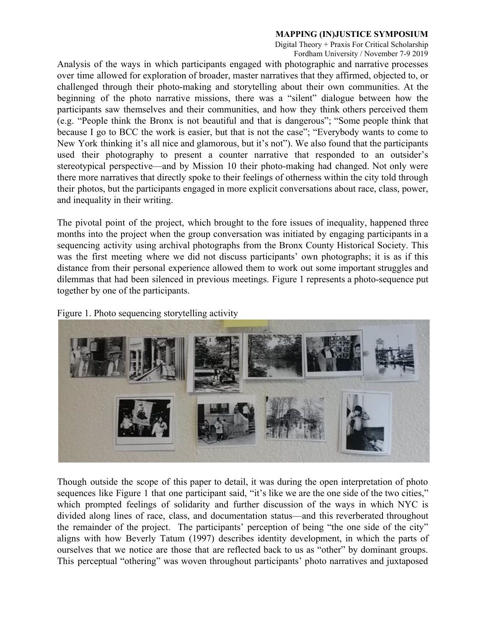Digital Theory + Praxis For Critical Scholarship Fordham University / November 7-9 2019

Analysis of the ways in which participants engaged with photographic and narrative processes over time allowed for exploration of broader, master narratives that they affirmed, objected to, or challenged through their photo-making and storytelling about their own communities. At the beginning of the photo narrative missions, there was a "silent" dialogue between how the participants saw themselves and their communities, and how they think others perceived them (e.g. "People think the Bronx is not beautiful and that is dangerous"; "Some people think that because I go to BCC the work is easier, but that is not the case"; "Everybody wants to come to New York thinking it's all nice and glamorous, but it's not"). We also found that the participants used their photography to present a counter narrative that responded to an outsider's stereotypical perspective—and by Mission 10 their photo-making had changed. Not only were there more narratives that directly spoke to their feelings of otherness within the city told through their photos, but the participants engaged in more explicit conversations about race, class, power, and inequality in their writing.

The pivotal point of the project, which brought to the fore issues of inequality, happened three months into the project when the group conversation was initiated by engaging participants in a sequencing activity using archival photographs from the Bronx County Historical Society. This was the first meeting where we did not discuss participants' own photographs; it is as if this distance from their personal experience allowed them to work out some important struggles and dilemmas that had been silenced in previous meetings. Figure 1 represents a photo-sequence put together by one of the participants.

Figure 1. Photo sequencing storytelling activity



Though outside the scope of this paper to detail, it was during the open interpretation of photo sequences like Figure 1 that one participant said, "it's like we are the one side of the two cities," which prompted feelings of solidarity and further discussion of the ways in which NYC is divided along lines of race, class, and documentation status—and this reverberated throughout the remainder of the project. The participants' perception of being "the one side of the city" aligns with how Beverly Tatum (1997) describes identity development, in which the parts of ourselves that we notice are those that are reflected back to us as "other" by dominant groups. This perceptual "othering" was woven throughout participants' photo narratives and juxtaposed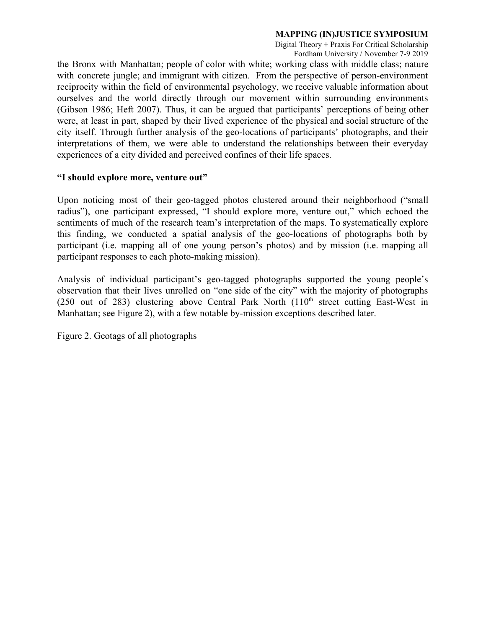Digital Theory + Praxis For Critical Scholarship Fordham University / November 7-9 2019

the Bronx with Manhattan; people of color with white; working class with middle class; nature with concrete jungle; and immigrant with citizen. From the perspective of person-environment reciprocity within the field of environmental psychology, we receive valuable information about ourselves and the world directly through our movement within surrounding environments (Gibson 1986; Heft 2007). Thus, it can be argued that participants' perceptions of being other were, at least in part, shaped by their lived experience of the physical and social structure of the city itself. Through further analysis of the geo-locations of participants' photographs, and their interpretations of them, we were able to understand the relationships between their everyday experiences of a city divided and perceived confines of their life spaces.

# **"I should explore more, venture out"**

Upon noticing most of their geo-tagged photos clustered around their neighborhood ("small radius"), one participant expressed, "I should explore more, venture out," which echoed the sentiments of much of the research team's interpretation of the maps. To systematically explore this finding, we conducted a spatial analysis of the geo-locations of photographs both by participant (i.e. mapping all of one young person's photos) and by mission (i.e. mapping all participant responses to each photo-making mission).

Analysis of individual participant's geo-tagged photographs supported the young people's observation that their lives unrolled on "one side of the city" with the majority of photographs (250 out of 283) clustering above Central Park North  $(110<sup>th</sup>$  street cutting East-West in Manhattan; see Figure 2), with a few notable by-mission exceptions described later.

Figure 2. Geotags of all photographs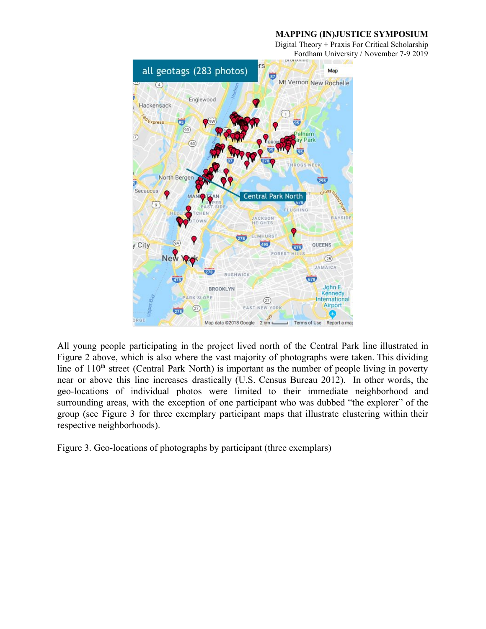Digital Theory + Praxis For Critical Scholarship Fordham University / November 7-9 2019



All young people participating in the project lived north of the Central Park line illustrated in Figure 2 above, which is also where the vast majority of photographs were taken. This dividing line of  $110<sup>th</sup>$  street (Central Park North) is important as the number of people living in poverty near or above this line increases drastically (U.S. Census Bureau 2012). In other words, the geo-locations of individual photos were limited to their immediate neighborhood and surrounding areas, with the exception of one participant who was dubbed "the explorer" of the group (see Figure 3 for three exemplary participant maps that illustrate clustering within their respective neighborhoods).

Figure 3. Geo-locations of photographs by participant (three exemplars)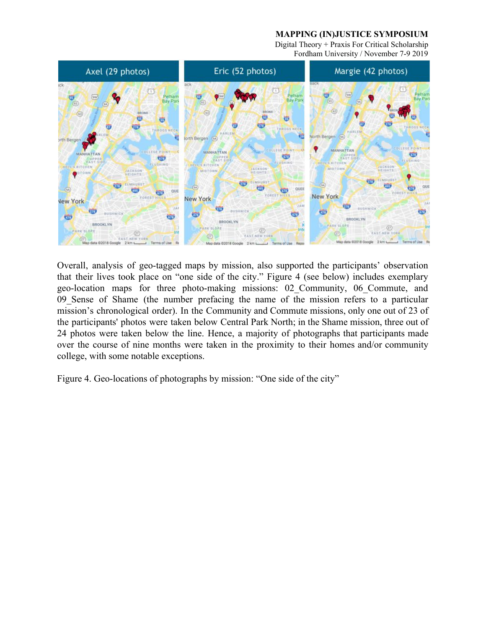Digital Theory + Praxis For Critical Scholarship Fordham University / November 7-9 2019



Overall, analysis of geo-tagged maps by mission, also supported the participants' observation that their lives took place on "one side of the city." Figure 4 (see below) includes exemplary geo-location maps for three photo-making missions: 02\_Community, 06\_Commute, and 09\_Sense of Shame (the number prefacing the name of the mission refers to a particular mission's chronological order). In the Community and Commute missions, only one out of 23 of the participants' photos were taken below Central Park North; in the Shame mission, three out of 24 photos were taken below the line. Hence, a majority of photographs that participants made over the course of nine months were taken in the proximity to their homes and/or community college, with some notable exceptions.

Figure 4. Geo-locations of photographs by mission: "One side of the city"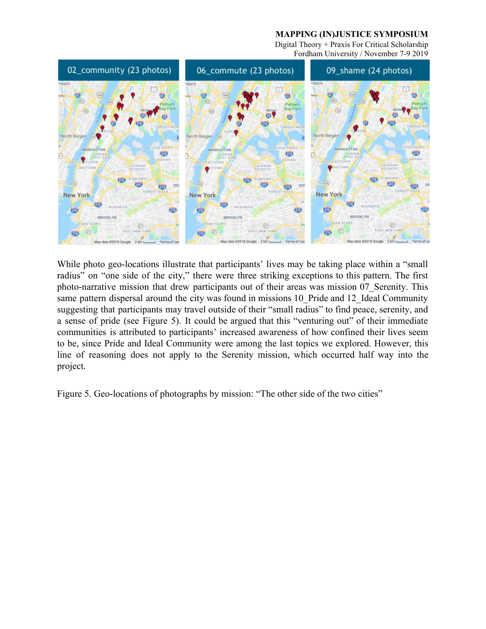Digital Theory + Praxis For Critical Scholarship Fordham University / November 7-9 2019



While photo geo-locations illustrate that participants' lives may be taking place within a "small" radius" on "one side of the city," there were three striking exceptions to this pattern. The first photo-narrative mission that drew participants out of their areas was mission 07\_Serenity. This same pattern dispersal around the city was found in missions 10 Pride and 12 Ideal Community suggesting that participants may travel outside of their "small radius" to find peace, serenity, and a sense of pride (see Figure 5). It could be argued that this "venturing out" of their immediate communities is attributed to participants' increased awareness of how confined their lives seem to be, since Pride and Ideal Community were among the last topics we explored. However, this line of reasoning does not apply to the Serenity mission, which occurred half way into the project.

Figure 5. Geo-locations of photographs by mission: "The other side of the two cities"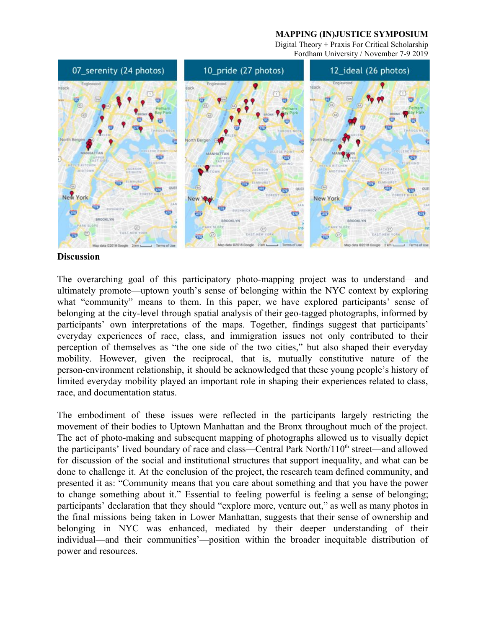Digital Theory + Praxis For Critical Scholarship Fordham University / November 7-9 2019



#### **Discussion**

The overarching goal of this participatory photo-mapping project was to understand—and ultimately promote—uptown youth's sense of belonging within the NYC context by exploring what "community" means to them. In this paper, we have explored participants' sense of belonging at the city-level through spatial analysis of their geo-tagged photographs, informed by participants' own interpretations of the maps. Together, findings suggest that participants' everyday experiences of race, class, and immigration issues not only contributed to their perception of themselves as "the one side of the two cities," but also shaped their everyday mobility. However, given the reciprocal, that is, mutually constitutive nature of the person-environment relationship, it should be acknowledged that these young people's history of limited everyday mobility played an important role in shaping their experiences related to class, race, and documentation status.

The embodiment of these issues were reflected in the participants largely restricting the movement of their bodies to Uptown Manhattan and the Bronx throughout much of the project. The act of photo-making and subsequent mapping of photographs allowed us to visually depict the participants' lived boundary of race and class—Central Park North/110<sup>th</sup> street—and allowed for discussion of the social and institutional structures that support inequality, and what can be done to challenge it. At the conclusion of the project, the research team defined community, and presented it as: "Community means that you care about something and that you have the power to change something about it." Essential to feeling powerful is feeling a sense of belonging; participants' declaration that they should "explore more, venture out," as well as many photos in the final missions being taken in Lower Manhattan, suggests that their sense of ownership and belonging in NYC was enhanced, mediated by their deeper understanding of their individual—and their communities'—position within the broader inequitable distribution of power and resources.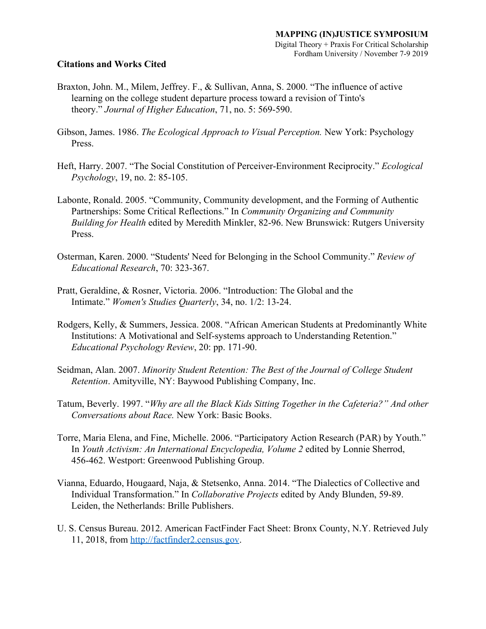## **Citations and Works Cited**

- Braxton, John. M., Milem, Jeffrey. F., & Sullivan, Anna, S. 2000. "The influence of active learning on the college student departure process toward a revision of Tinto's theory." *Journal of Higher Education*, 71, no. 5: 569-590.
- Gibson, James. 1986. *The Ecological Approach to Visual Perception.* New York: Psychology Press.
- Heft, Harry. 2007. "The Social Constitution of Perceiver-Environment Reciprocity." *Ecological Psychology*, 19, no. 2: 85-105.
- Labonte, Ronald. 2005. "Community, Community development, and the Forming of Authentic Partnerships: Some Critical Reflections." In *Community Organizing and Community Building for Health* edited by Meredith Minkler, 82-96. New Brunswick: Rutgers University Press.
- Osterman, Karen. 2000. "Students' Need for Belonging in the School Community." *Review of Educational Research*, 70: 323-367.
- Pratt, Geraldine, & Rosner, Victoria. 2006. "Introduction: The Global and the Intimate." *Women's Studies Quarterly*, 34, no. 1/2: 13-24.
- Rodgers, Kelly, & Summers, Jessica. 2008. "African American Students at Predominantly White Institutions: A Motivational and Self-systems approach to Understanding Retention." *Educational Psychology Review*, 20: pp. 171-90.
- Seidman, Alan. 2007. *Minority Student Retention: The Best of the Journal of College Student Retention*. Amityville, NY: Baywood Publishing Company, Inc.
- Tatum, Beverly. 1997. "*Why are all the Black Kids Sitting Together in the Cafeteria?" And other Conversations about Race.* New York: Basic Books.
- Torre, Maria Elena, and Fine, Michelle. 2006. "Participatory Action Research (PAR) by Youth." In *Youth Activism: An International Encyclopedia, Volume 2* edited by Lonnie Sherrod, 456-462. Westport: Greenwood Publishing Group.
- Vianna, Eduardo, Hougaard, Naja, & Stetsenko, Anna. 2014. "The Dialectics of Collective and Individual Transformation." In *Collaborative Projects* edited by Andy Blunden, 59-89. Leiden, the Netherlands: Brille Publishers.
- U. S. Census Bureau. 2012. American FactFinder Fact Sheet: Bronx County, N.Y. Retrieved July 11, 2018, from [http://factfinder2.census.gov.](http://factfinder2.census.gov/)